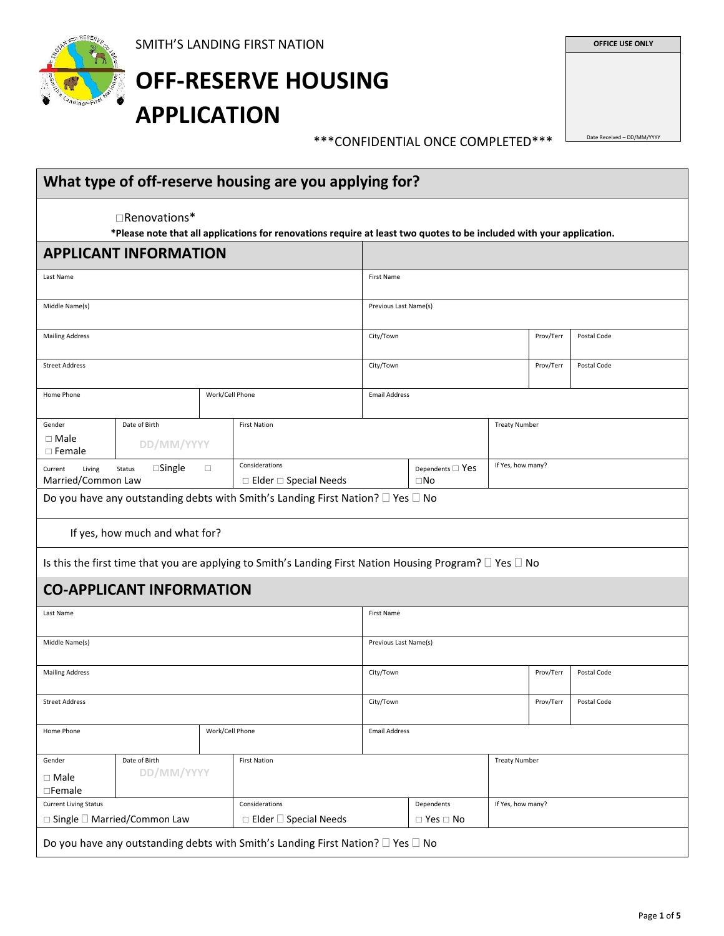

# **OFF-RESERVE HOUSING APPLICATION**

**OFFICE USE ONLY** 

\*\*\*CONFIDENTIAL ONCE COMPLETED\*\*\*

| Date Received - DD/MM/YYYY |  |
|----------------------------|--|

|                                                                           | $\Box$ Renovations*             |        | *Please note that all applications for renovations require at least two quotes to be included with your application. |                       |                                          |                      |           |             |
|---------------------------------------------------------------------------|---------------------------------|--------|----------------------------------------------------------------------------------------------------------------------|-----------------------|------------------------------------------|----------------------|-----------|-------------|
|                                                                           | <b>APPLICANT INFORMATION</b>    |        |                                                                                                                      |                       |                                          |                      |           |             |
| Last Name                                                                 |                                 |        |                                                                                                                      | <b>First Name</b>     |                                          |                      |           |             |
| Middle Name(s)                                                            |                                 |        |                                                                                                                      | Previous Last Name(s) |                                          |                      |           |             |
| <b>Mailing Address</b>                                                    |                                 |        |                                                                                                                      | City/Town             |                                          |                      | Prov/Terr | Postal Code |
|                                                                           |                                 |        |                                                                                                                      |                       |                                          |                      |           |             |
| <b>Street Address</b>                                                     |                                 |        |                                                                                                                      | City/Town             |                                          |                      | Prov/Terr | Postal Code |
| Home Phone                                                                |                                 |        | Work/Cell Phone                                                                                                      | <b>Email Address</b>  |                                          |                      |           |             |
| Gender                                                                    | Date of Birth                   |        | <b>First Nation</b>                                                                                                  |                       |                                          | <b>Treaty Number</b> |           |             |
| $\Box$ Male<br>$\Box$ Female                                              | DD/MM/YYYY                      |        |                                                                                                                      |                       |                                          |                      |           |             |
| Current<br>Living<br>Married/Common Law                                   | $\square$ Single<br>Status      | $\Box$ | Considerations<br>$\Box$ Elder $\Box$ Special Needs                                                                  |                       | Dependents $\square$ Yes<br>$\square$ No | If Yes, how many?    |           |             |
|                                                                           |                                 |        |                                                                                                                      |                       |                                          |                      |           |             |
|                                                                           |                                 |        | Do you have any outstanding debts with Smith's Landing First Nation? $\square$ Yes $\square$ No                      |                       |                                          |                      |           |             |
|                                                                           |                                 |        |                                                                                                                      |                       |                                          |                      |           |             |
|                                                                           | If yes, how much and what for?  |        |                                                                                                                      |                       |                                          |                      |           |             |
|                                                                           |                                 |        | Is this the first time that you are applying to Smith's Landing First Nation Housing Program? $\Box$ Yes $\Box$ No   |                       |                                          |                      |           |             |
|                                                                           | <b>CO-APPLICANT INFORMATION</b> |        |                                                                                                                      |                       |                                          |                      |           |             |
|                                                                           |                                 |        |                                                                                                                      | <b>First Name</b>     |                                          |                      |           |             |
|                                                                           |                                 |        |                                                                                                                      | Previous Last Name(s) |                                          |                      |           |             |
|                                                                           |                                 |        |                                                                                                                      |                       |                                          |                      |           |             |
| Last Name<br>Middle Name(s)<br><b>Mailing Address</b>                     |                                 |        |                                                                                                                      | City/Town             |                                          |                      | Prov/Terr | Postal Code |
| <b>Street Address</b>                                                     |                                 |        |                                                                                                                      | City/Town             |                                          |                      | Prov/Terr | Postal Code |
| Home Phone                                                                |                                 |        | Work/Cell Phone                                                                                                      | <b>Email Address</b>  |                                          |                      |           |             |
|                                                                           |                                 |        |                                                                                                                      |                       |                                          |                      |           |             |
|                                                                           | Date of Birth<br>DD/MM/YYYY     |        | <b>First Nation</b>                                                                                                  |                       |                                          | <b>Treaty Number</b> |           |             |
| Gender<br>$\Box$ Male<br>$\square$ Female<br><b>Current Living Status</b> | □ Single □ Married/Common Law   |        | Considerations<br>$\Box$ Elder $\Box$ Special Needs                                                                  |                       | Dependents<br>$\Box$ Yes $\Box$ No       | If Yes, how many?    |           |             |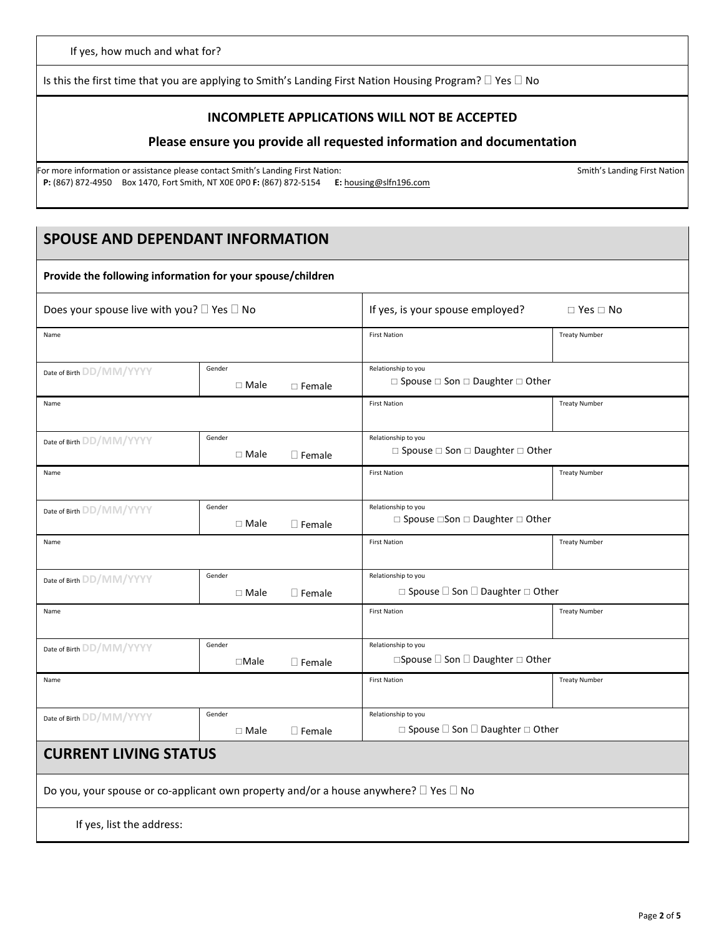Is this the first time that you are applying to Smith's Landing First Nation Housing Program?  $\Box$  Yes  $\Box$  No

#### **INCOMPLETE APPLICATIONS WILL NOT BE ACCEPTED**

#### **Please ensure you provide all requested information and documentation**

For more information or assistance please contact Smith's Landing First Nation: Smith's Landing First Nation: Smith's Landing First Nation: **P:** (867) 872-4950 Box 1470, Fort Smith, NT X0E 0P0 **F:** (867) 872-5154 **E:** housing@slfn196.com

## **SPOUSE AND DEPENDANT INFORMATION**

| Does your spouse live with you? $\square$ Yes $\square$ No                                           |                          |                                                          | If yes, is your spouse employed?<br>$\Box$ Yes $\Box$ No                     |                      |  |
|------------------------------------------------------------------------------------------------------|--------------------------|----------------------------------------------------------|------------------------------------------------------------------------------|----------------------|--|
| Name                                                                                                 |                          |                                                          | <b>First Nation</b>                                                          | <b>Treaty Number</b> |  |
| Gender<br>Date of Birth DD/MM/YYYY<br>$\Box$ Male<br>$\Box$ Female                                   |                          | Relationship to you<br>□ Spouse □ Son □ Daughter □ Other |                                                                              |                      |  |
| Name                                                                                                 |                          |                                                          | <b>First Nation</b>                                                          | <b>Treaty Number</b> |  |
| Date of Birth DD/MM/YYYY                                                                             | Gender<br>$\Box$ Male    | $\Box$ Female                                            | Relationship to you<br>$\Box$ Spouse $\Box$ Son $\Box$ Daughter $\Box$ Other |                      |  |
| Name                                                                                                 |                          |                                                          | <b>First Nation</b>                                                          | <b>Treaty Number</b> |  |
| Date of Birth DD/MM/YYYY                                                                             | Gender<br>$\Box$ Male    | $\Box$ Female                                            | Relationship to you<br>$\Box$ Spouse $\Box$ Son $\Box$ Daughter $\Box$ Other |                      |  |
| Name                                                                                                 |                          |                                                          | <b>First Nation</b>                                                          | <b>Treaty Number</b> |  |
| Date of Birth DD/MM/YYYY                                                                             | Gender<br>$\Box$ Male    | $\square$ Female                                         | Relationship to you<br>$\Box$ Spouse $\Box$ Son $\Box$ Daughter $\Box$ Other |                      |  |
| Name                                                                                                 |                          |                                                          | <b>First Nation</b>                                                          | <b>Treaty Number</b> |  |
| Date of Birth DD/MM/YYYY                                                                             | Gender<br>$\square$ Male | $\Box$ Female                                            | Relationship to you<br>□Spouse □ Son □ Daughter □ Other                      |                      |  |
| Name                                                                                                 |                          |                                                          | <b>First Nation</b>                                                          | <b>Treaty Number</b> |  |
| Date of Birth DD/MM/YYYY                                                                             | Gender<br>$\Box$ Male    | $\Box$ Female                                            | Relationship to you<br>□ Spouse □ Son □ Daughter □ Other                     |                      |  |
| <b>CURRENT LIVING STATUS</b>                                                                         |                          |                                                          |                                                                              |                      |  |
| Do you, your spouse or co-applicant own property and/or a house anywhere? $\square$ Yes $\square$ No |                          |                                                          |                                                                              |                      |  |
| If yes, list the address:                                                                            |                          |                                                          |                                                                              |                      |  |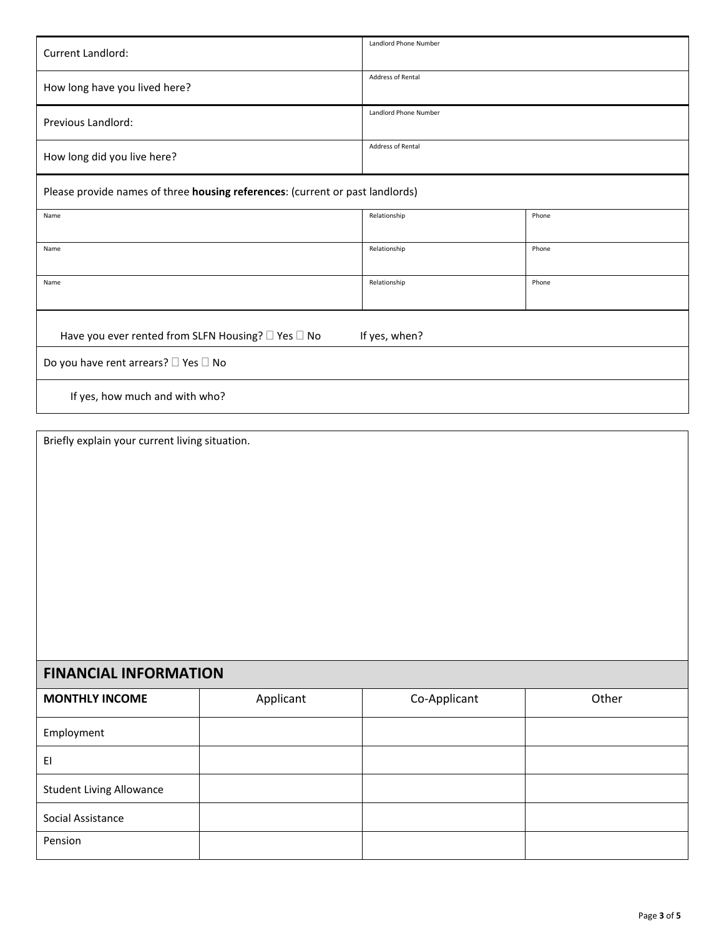| <b>Current Landlord:</b>                                                      | Landlord Phone Number |       |  |  |
|-------------------------------------------------------------------------------|-----------------------|-------|--|--|
| How long have you lived here?                                                 | Address of Rental     |       |  |  |
| Previous Landlord:                                                            | Landlord Phone Number |       |  |  |
| How long did you live here?                                                   | Address of Rental     |       |  |  |
| Please provide names of three housing references: (current or past landlords) |                       |       |  |  |
| Name                                                                          | Relationship          | Phone |  |  |
| Name                                                                          | Relationship          | Phone |  |  |
| Name                                                                          | Relationship          | Phone |  |  |
| Have you ever rented from SLFN Housing? □ Yes □ No<br>If yes, when?           |                       |       |  |  |
| Do you have rent arrears? □ Yes □ No                                          |                       |       |  |  |
| If yes, how much and with who?                                                |                       |       |  |  |

Briefly explain your current living situation.

# **FINANCIAL INFORMATION**

| <b>MONTHLY INCOME</b>           | Applicant | Co-Applicant | Other |
|---------------------------------|-----------|--------------|-------|
| Employment                      |           |              |       |
| EI                              |           |              |       |
| <b>Student Living Allowance</b> |           |              |       |
| Social Assistance               |           |              |       |
| Pension                         |           |              |       |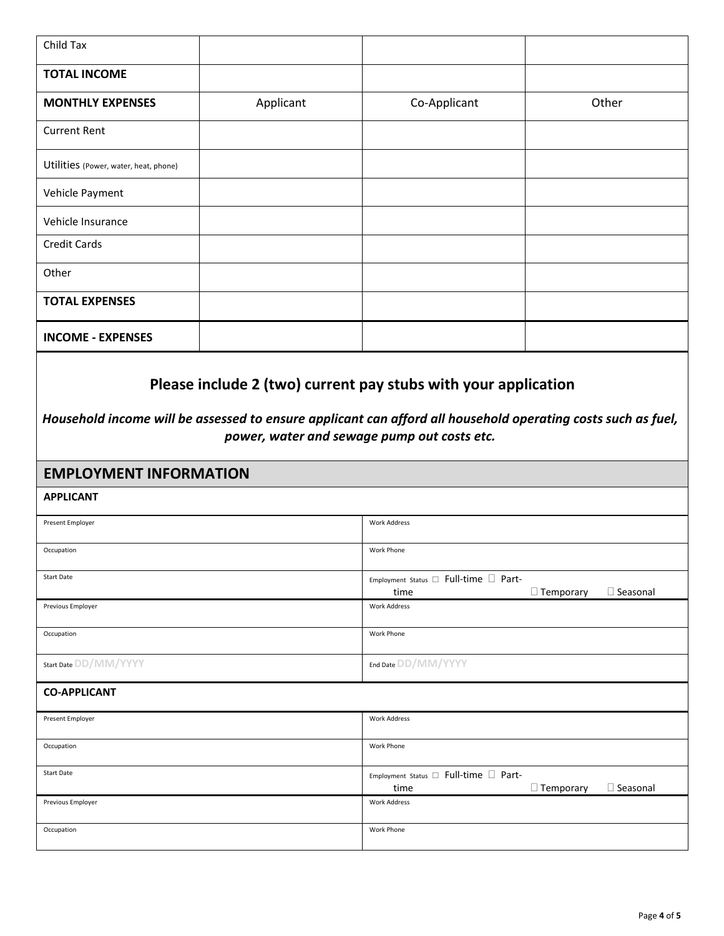| Child Tax                                                                                                    |           |                                                       |                                     |
|--------------------------------------------------------------------------------------------------------------|-----------|-------------------------------------------------------|-------------------------------------|
| <b>TOTAL INCOME</b>                                                                                          |           |                                                       |                                     |
| <b>MONTHLY EXPENSES</b>                                                                                      | Applicant | Co-Applicant                                          | Other                               |
| <b>Current Rent</b>                                                                                          |           |                                                       |                                     |
| Utilities (Power, water, heat, phone)                                                                        |           |                                                       |                                     |
| Vehicle Payment                                                                                              |           |                                                       |                                     |
| Vehicle Insurance                                                                                            |           |                                                       |                                     |
| <b>Credit Cards</b>                                                                                          |           |                                                       |                                     |
| Other                                                                                                        |           |                                                       |                                     |
| <b>TOTAL EXPENSES</b>                                                                                        |           |                                                       |                                     |
| <b>INCOME - EXPENSES</b>                                                                                     |           |                                                       |                                     |
| Household income will be assessed to ensure applicant can afford all household operating costs such as fuel, |           |                                                       |                                     |
|                                                                                                              |           | power, water and sewage pump out costs etc.           |                                     |
| <b>EMPLOYMENT INFORMATION</b><br><b>APPLICANT</b>                                                            |           |                                                       |                                     |
| Present Employer                                                                                             |           | <b>Work Address</b>                                   |                                     |
| Occupation                                                                                                   |           | <b>Work Phone</b>                                     |                                     |
| <b>Start Date</b>                                                                                            |           |                                                       |                                     |
|                                                                                                              |           | Employment Status □ Full-time □ Part-<br>time         | □ Seasonal<br>$\Box$ Temporary      |
| Previous Employer                                                                                            |           | <b>Work Address</b>                                   |                                     |
| Occupation                                                                                                   |           | Work Phone                                            |                                     |
| Start Date DD/MM/YYYY                                                                                        |           | End Date DD/MM/YYYY                                   |                                     |
| <b>CO-APPLICANT</b>                                                                                          |           |                                                       |                                     |
| Present Employer                                                                                             |           | <b>Work Address</b>                                   |                                     |
| Occupation                                                                                                   |           | Work Phone                                            |                                     |
| Start Date                                                                                                   |           | Employment Status $\square$ Full-time $\square$ Part- |                                     |
| Previous Employer                                                                                            |           | time<br><b>Work Address</b>                           | $\Box$ Temporary<br>$\Box$ Seasonal |